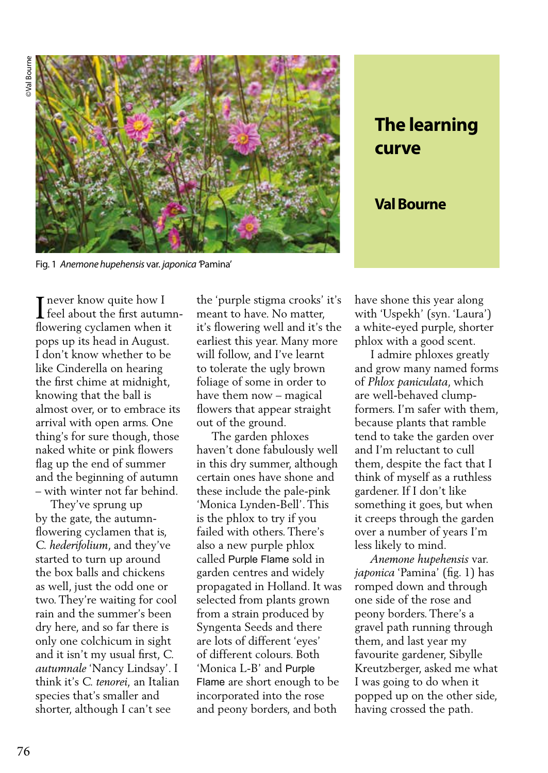

Fig. 1 *Anemone hupehensis* var. *japonica '*Pamina'

**T** never know quite how I The feel about the first autumnflowering cyclamen when it pops up its head in August. I don't know whether to be like Cinderella on hearing the first chime at midnight, knowing that the ball is almost over, or to embrace its arrival with open arms. One thing's for sure though, those naked white or pink flowers flag up the end of summer and the beginning of autumn – with winter not far behind.

 They've sprung up by the gate, the autumnflowering cyclamen that is, *C. hederifolium*, and they've started to turn up around the box balls and chickens as well, just the odd one or two. They're waiting for cool rain and the summer's been dry here, and so far there is only one colchicum in sight and it isn't my usual first, *C. autumnale* 'Nancy Lindsay'. I think it's *C. tenorei,* an Italian species that's smaller and shorter, although I can't see

the 'purple stigma crooks' it's meant to have. No matter, it's flowering well and it's the earliest this year. Many more will follow, and I've learnt to tolerate the ugly brown foliage of some in order to have them now – magical flowers that appear straight out of the ground.

 The garden phloxes haven't done fabulously well in this dry summer, although certain ones have shone and these include the pale-pink 'Monica Lynden-Bell'. This is the phlox to try if you failed with others. There's also a new purple phlox called Purple Flame sold in garden centres and widely propagated in Holland. It was selected from plants grown from a strain produced by Syngenta Seeds and there are lots of different 'eyes' of different colours. Both 'Monica L-B' and Purple Flame are short enough to be incorporated into the rose and peony borders, and both

**The learning curve**

**Val Bourne** 

have shone this year along with 'Uspekh' (syn. 'Laura') a white-eyed purple, shorter phlox with a good scent.

 I admire phloxes greatly and grow many named forms of *Phlox paniculata*, which are well-behaved clumpformers. I'm safer with them, because plants that ramble tend to take the garden over and I'm reluctant to cull them, despite the fact that I think of myself as a ruthless gardener. If I don't like something it goes, but when it creeps through the garden over a number of years I'm less likely to mind.

 *Anemone hupehensis* var. *japonica* 'Pamina' (fig. 1) has romped down and through one side of the rose and peony borders. There's a gravel path running through them, and last year my favourite gardener, Sibylle Kreutzberger, asked me what I was going to do when it popped up on the other side, having crossed the path.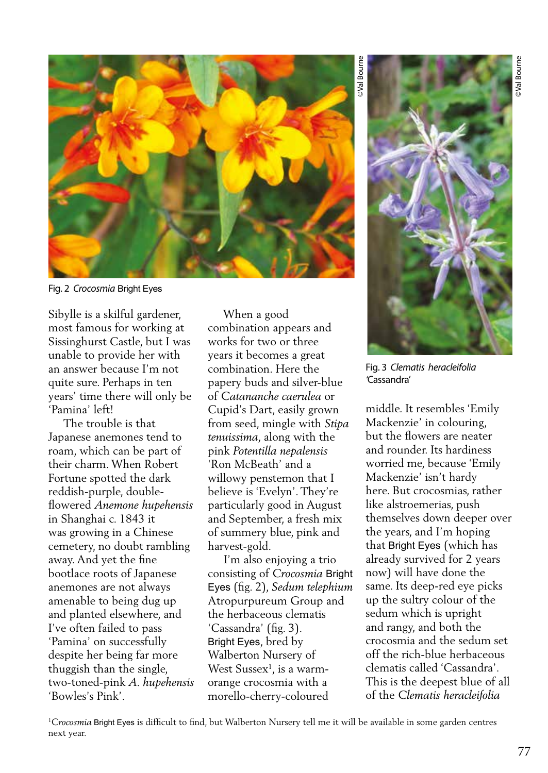

Fig. 2 *Crocosmia* Bright Eyes

Sibylle is a skilful gardener, most famous for working at Sissinghurst Castle, but I was unable to provide her with an answer because I'm not quite sure. Perhaps in ten years' time there will only be 'Pamina' left!

 The trouble is that Japanese anemones tend to roam, which can be part of their charm. When Robert Fortune spotted the dark reddish-purple, doubleflowered *Anemone hupehensis*  in Shanghai c. 1843 it was growing in a Chinese cemetery, no doubt rambling away. And yet the fine bootlace roots of Japanese anemones are not always amenable to being dug up and planted elsewhere, and I've often failed to pass 'Pamina' on successfully despite her being far more thuggish than the single, two-toned-pink *A. hupehensis* 'Bowles's Pink'.

 When a good combination appears and works for two or three years it becomes a great combination. Here the papery buds and silver-blue of *Catananche caerulea* or Cupid's Dart, easily grown from seed, mingle with *Stipa tenuissima*, along with the pink *Potentilla nepalensis*  'Ron McBeath' and a willowy penstemon that I believe is 'Evelyn'. They're particularly good in August and September, a fresh mix of summery blue, pink and harvest-gold.

 I'm also enjoying a trio consisting of *Crocosmia* Bright Eyes (fig. 2), *Sedum telephium*  Atropurpureum Group and the herbaceous clematis 'Cassandra' (fig. 3). Bright Eyes, bred by Walberton Nursery of West Sussex<sup>1</sup>, is a warmorange crocosmia with a morello-cherry-coloured

©Val Bourne

Wal Bourn

Fig. 3 *Clematis heracleifolia '*Cassandra'

middle. It resembles 'Emily Mackenzie' in colouring, but the flowers are neater and rounder. Its hardiness worried me, because 'Emily Mackenzie' isn't hardy here. But crocosmias, rather like alstroemerias, push themselves down deeper over the years, and I'm hoping that Bright Eyes (which has already survived for 2 years now) will have done the same. Its deep-red eye picks up the sultry colour of the sedum which is upright and rangy, and both the crocosmia and the sedum set off the rich-blue herbaceous clematis called 'Cassandra'. This is the deepest blue of all of the *Clematis heracleifolia*

1 *Crocosmia* Bright Eyes is difficult to find, but Walberton Nursery tell me it will be available in some garden centres next year.

77